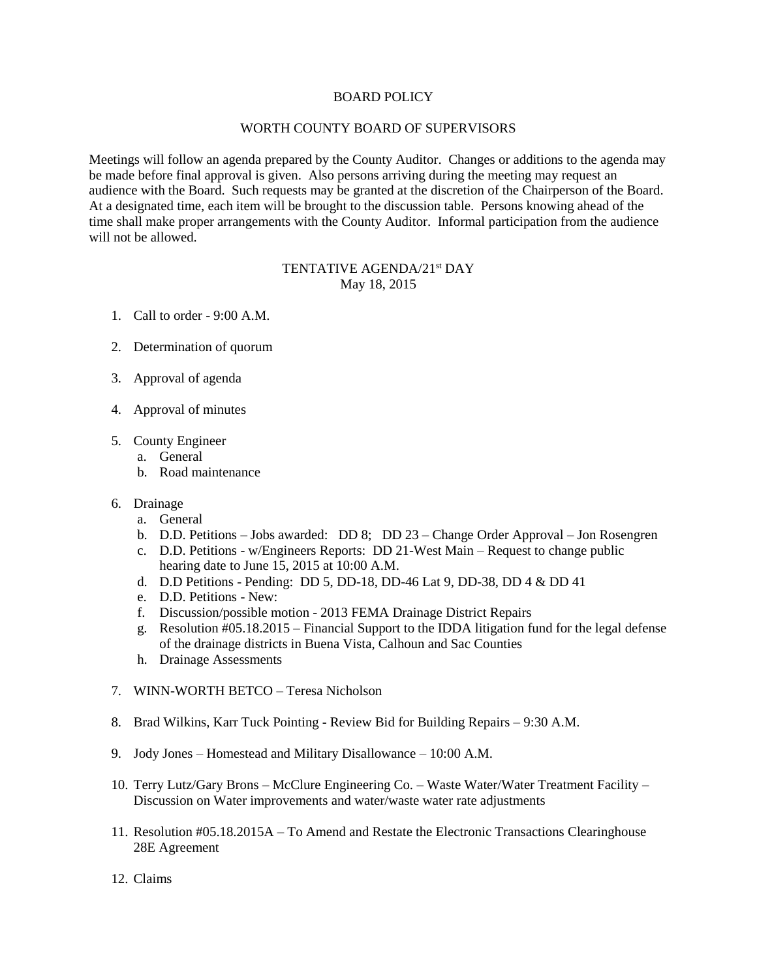## BOARD POLICY

## WORTH COUNTY BOARD OF SUPERVISORS

Meetings will follow an agenda prepared by the County Auditor. Changes or additions to the agenda may be made before final approval is given. Also persons arriving during the meeting may request an audience with the Board. Such requests may be granted at the discretion of the Chairperson of the Board. At a designated time, each item will be brought to the discussion table. Persons knowing ahead of the time shall make proper arrangements with the County Auditor. Informal participation from the audience will not be allowed.

## TENTATIVE AGENDA/21<sup>st</sup> DAY May 18, 2015

- 1. Call to order 9:00 A.M.
- 2. Determination of quorum
- 3. Approval of agenda
- 4. Approval of minutes
- 5. County Engineer
	- a. General
	- b. Road maintenance
- 6. Drainage
	- a. General
	- b. D.D. Petitions Jobs awarded: DD 8; DD 23 Change Order Approval Jon Rosengren
	- c. D.D. Petitions w/Engineers Reports: DD 21-West Main Request to change public hearing date to June 15, 2015 at 10:00 A.M.
	- d. D.D Petitions Pending: DD 5, DD-18, DD-46 Lat 9, DD-38, DD 4 & DD 41
	- e. D.D. Petitions New:
	- f. Discussion/possible motion 2013 FEMA Drainage District Repairs
	- g. Resolution #05.18.2015 Financial Support to the IDDA litigation fund for the legal defense of the drainage districts in Buena Vista, Calhoun and Sac Counties
	- h. Drainage Assessments
- 7. WINN-WORTH BETCO Teresa Nicholson
- 8. Brad Wilkins, Karr Tuck Pointing Review Bid for Building Repairs 9:30 A.M.
- 9. Jody Jones Homestead and Military Disallowance 10:00 A.M.
- 10. Terry Lutz/Gary Brons McClure Engineering Co. Waste Water/Water Treatment Facility Discussion on Water improvements and water/waste water rate adjustments
- 11. Resolution #05.18.2015A To Amend and Restate the Electronic Transactions Clearinghouse 28E Agreement
- 12. Claims